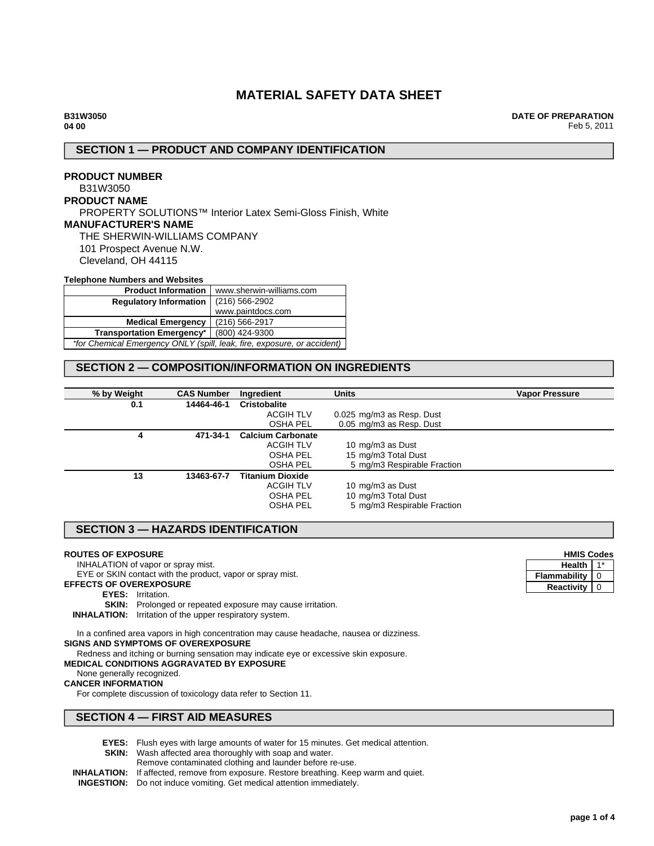# **MATERIAL SAFETY DATA SHEET**

**DATE OF PREPARATION** Feb 5, 2011

#### **SECTION 1 — PRODUCT AND COMPANY IDENTIFICATION**

#### **PRODUCT NUMBER** B31W3050 **PRODUCT NAME** PROPERTY SOLUTIONS™ Interior Latex Semi-Gloss Finish, White **MANUFACTURER'S NAME** THE SHERWIN-WILLIAMS COMPANY 101 Prospect Avenue N.W. Cleveland, OH 44115 **Telephone Numbers and Websites**

| <b>Product Information</b>                                              | www.sherwin-williams.com |  |
|-------------------------------------------------------------------------|--------------------------|--|
| <b>Regulatory Information</b>                                           | $(216)$ 566-2902         |  |
|                                                                         | www.paintdocs.com        |  |
| <b>Medical Emergency</b>                                                | (216) 566-2917           |  |
| <b>Transportation Emergency*</b>                                        | (800) 424-9300           |  |
| *for Chemical Emergency ONLY (spill, leak, fire, exposure, or accident) |                          |  |

## **SECTION 2 — COMPOSITION/INFORMATION ON INGREDIENTS**

| % by Weight | <b>CAS Number</b> | Ingredient               | <b>Units</b>                | <b>Vapor Pressure</b> |
|-------------|-------------------|--------------------------|-----------------------------|-----------------------|
| 0.1         | 14464-46-1        | Cristobalite             |                             |                       |
|             |                   | ACGIH TLV                | 0.025 mg/m3 as Resp. Dust   |                       |
|             |                   | <b>OSHA PEL</b>          | 0.05 mg/m3 as Resp. Dust    |                       |
| 4           | 471-34-1          | <b>Calcium Carbonate</b> |                             |                       |
|             |                   | <b>ACGIH TLV</b>         | 10 mg/m3 as Dust            |                       |
|             |                   | <b>OSHA PEL</b>          | 15 mg/m3 Total Dust         |                       |
|             |                   | <b>OSHA PEL</b>          | 5 mg/m3 Respirable Fraction |                       |
| 13          | 13463-67-7        | <b>Titanium Dioxide</b>  |                             |                       |
|             |                   | <b>ACGIH TLV</b>         | 10 mg/m3 as Dust            |                       |
|             |                   | <b>OSHA PEL</b>          | 10 mg/m3 Total Dust         |                       |
|             |                   | OSHA PEL                 | 5 mg/m3 Respirable Fraction |                       |

#### **SECTION 3 — HAZARDS IDENTIFICATION**

#### **ROUTES OF EXPOSURE**

INHALATION of vapor or spray mist.

EYE or SKIN contact with the product, vapor or spray mist.

#### **EFFECTS OF OVEREXPOSURE**

**EYES:** Irritation.

**SKIN:** Prolonged or repeated exposure may cause irritation.

**INHALATION:** Irritation of the upper respiratory system.

In a confined area vapors in high concentration may cause headache, nausea or dizziness. **SIGNS AND SYMPTOMS OF OVEREXPOSURE**

Redness and itching or burning sensation may indicate eye or excessive skin exposure.

# **MEDICAL CONDITIONS AGGRAVATED BY EXPOSURE**

None generally recognized. **CANCER INFORMATION**

For complete discussion of toxicology data refer to Section 11.

# **SECTION 4 — FIRST AID MEASURES**

- **EYES:** Flush eyes with large amounts of water for 15 minutes. Get medical attention.
- **SKIN:** Wash affected area thoroughly with soap and water.
- Remove contaminated clothing and launder before re-use.

**INHALATION:** If affected, remove from exposure. Restore breathing. Keep warm and quiet.

**INGESTION:** Do not induce vomiting. Get medical attention immediately.

| <b>HMIS Codes</b> |   |  |
|-------------------|---|--|
| Health            |   |  |
| Flammability      | ∩ |  |
| Reactivity        |   |  |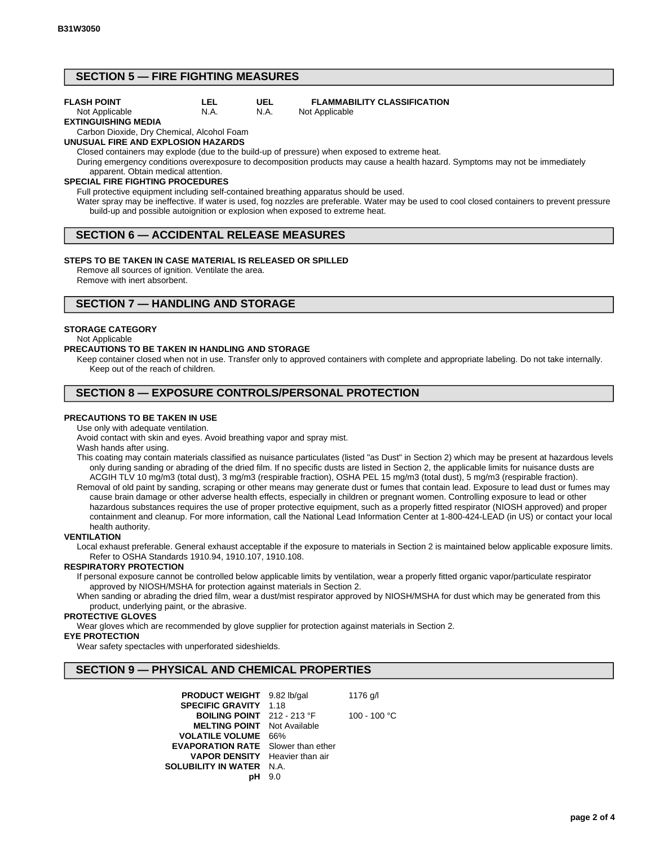# **SECTION 5 — FIRE FIGHTING MEASURES**

#### **FLASH POINT**

#### **LEL** N.A.

#### **FLAMMABILITY CLASSIFICATION** Not Applicable

Not Applicable **EXTINGUISHING MEDIA**

Carbon Dioxide, Dry Chemical, Alcohol Foam

#### **UNUSUAL FIRE AND EXPLOSION HAZARDS**

Closed containers may explode (due to the build-up of pressure) when exposed to extreme heat.

**UEL** N.A.

During emergency conditions overexposure to decomposition products may cause a health hazard. Symptoms may not be immediately apparent. Obtain medical attention.

#### **SPECIAL FIRE FIGHTING PROCEDURES**

Full protective equipment including self-contained breathing apparatus should be used.

Water spray may be ineffective. If water is used, fog nozzles are preferable. Water may be used to cool closed containers to prevent pressure build-up and possible autoignition or explosion when exposed to extreme heat.

# **SECTION 6 — ACCIDENTAL RELEASE MEASURES**

#### **STEPS TO BE TAKEN IN CASE MATERIAL IS RELEASED OR SPILLED**

Remove all sources of ignition. Ventilate the area. Remove with inert absorbent.

# **SECTION 7 — HANDLING AND STORAGE**

#### **STORAGE CATEGORY**

#### Not Applicable

#### **PRECAUTIONS TO BE TAKEN IN HANDLING AND STORAGE**

Keep container closed when not in use. Transfer only to approved containers with complete and appropriate labeling. Do not take internally. Keep out of the reach of children.

# **SECTION 8 — EXPOSURE CONTROLS/PERSONAL PROTECTION**

### **PRECAUTIONS TO BE TAKEN IN USE**

Use only with adequate ventilation.

Avoid contact with skin and eyes. Avoid breathing vapor and spray mist.

Wash hands after using.

- This coating may contain materials classified as nuisance particulates (listed "as Dust" in Section 2) which may be present at hazardous levels only during sanding or abrading of the dried film. If no specific dusts are listed in Section 2, the applicable limits for nuisance dusts are ACGIH TLV 10 mg/m3 (total dust), 3 mg/m3 (respirable fraction), OSHA PEL 15 mg/m3 (total dust), 5 mg/m3 (respirable fraction).
- Removal of old paint by sanding, scraping or other means may generate dust or fumes that contain lead. Exposure to lead dust or fumes may cause brain damage or other adverse health effects, especially in children or pregnant women. Controlling exposure to lead or other hazardous substances requires the use of proper protective equipment, such as a properly fitted respirator (NIOSH approved) and proper containment and cleanup. For more information, call the National Lead Information Center at 1-800-424-LEAD (in US) or contact your local health authority.

### **VENTILATION**

Local exhaust preferable. General exhaust acceptable if the exposure to materials in Section 2 is maintained below applicable exposure limits. Refer to OSHA Standards 1910.94, 1910.107, 1910.108.

### **RESPIRATORY PROTECTION**

If personal exposure cannot be controlled below applicable limits by ventilation, wear a properly fitted organic vapor/particulate respirator approved by NIOSH/MSHA for protection against materials in Section 2.

When sanding or abrading the dried film, wear a dust/mist respirator approved by NIOSH/MSHA for dust which may be generated from this product, underlying paint, or the abrasive.

#### **PROTECTIVE GLOVES**

Wear gloves which are recommended by glove supplier for protection against materials in Section 2.

#### **EYE PROTECTION**

Wear safety spectacles with unperforated sideshields.

# **SECTION 9 — PHYSICAL AND CHEMICAL PROPERTIES**

| <b>PRODUCT WEIGHT</b> 9.82 lb/gal         |      | 1176 g/l     |
|-------------------------------------------|------|--------------|
| <b>SPECIFIC GRAVITY</b>                   | 1.18 |              |
| <b>BOILING POINT</b> 212 - 213 °F         |      | 100 - 100 °C |
| <b>MELTING POINT</b> Not Available        |      |              |
| <b>VOLATILE VOLUME</b>                    | 66%  |              |
| <b>EVAPORATION RATE</b> Slower than ether |      |              |
| <b>VAPOR DENSITY</b> Heavier than air     |      |              |
| <b>SOLUBILITY IN WATER</b>                | N.A  |              |
|                                           | 9.0  |              |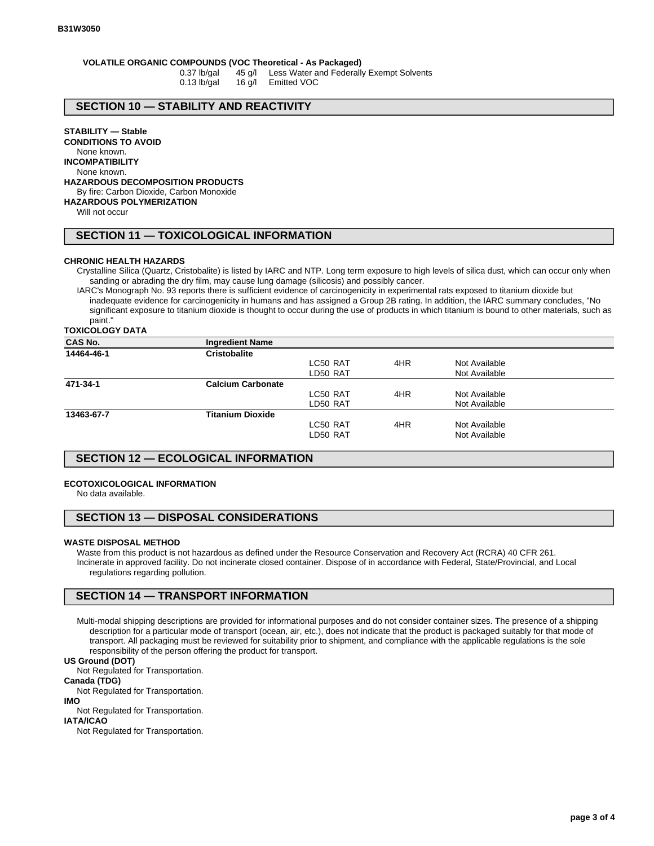# **VOLATILE ORGANIC COMPOUNDS (VOC Theoretical - As Packaged)**

0.37 lb/gal 45 g/l Less Water and Federally Exempt Solvents 0.13 lb/gal 16 g/l Emitted VOC

#### **SECTION 10 — STABILITY AND REACTIVITY**

**STABILITY — Stable**

**CONDITIONS TO AVOID** None known.

**INCOMPATIBILITY**

None known.

**HAZARDOUS DECOMPOSITION PRODUCTS**

#### By fire: Carbon Dioxide, Carbon Monoxide

**HAZARDOUS POLYMERIZATION**

Will not occur

#### **SECTION 11 — TOXICOLOGICAL INFORMATION**

#### **CHRONIC HEALTH HAZARDS**

Crystalline Silica (Quartz, Cristobalite) is listed by IARC and NTP. Long term exposure to high levels of silica dust, which can occur only when sanding or abrading the dry film, may cause lung damage (silicosis) and possibly cancer.

IARC's Monograph No. 93 reports there is sufficient evidence of carcinogenicity in experimental rats exposed to titanium dioxide but inadequate evidence for carcinogenicity in humans and has assigned a Group 2B rating. In addition, the IARC summary concludes, "No significant exposure to titanium dioxide is thought to occur during the use of products in which titanium is bound to other materials, such as paint."

**TOXICOLOGY DATA**

| <b>CAS No.</b> | <b>Ingredient Name</b>   |          |     |               |  |
|----------------|--------------------------|----------|-----|---------------|--|
| 14464-46-1     | <b>Cristobalite</b>      |          |     |               |  |
|                |                          | LC50 RAT | 4HR | Not Available |  |
|                |                          | LD50 RAT |     | Not Available |  |
| 471-34-1       | <b>Calcium Carbonate</b> |          |     |               |  |
|                |                          | LC50 RAT | 4HR | Not Available |  |
|                |                          | LD50 RAT |     | Not Available |  |
| 13463-67-7     | <b>Titanium Dioxide</b>  |          |     |               |  |
|                |                          | LC50 RAT | 4HR | Not Available |  |
|                |                          | LD50 RAT |     | Not Available |  |

#### **SECTION 12 — ECOLOGICAL INFORMATION**

#### **ECOTOXICOLOGICAL INFORMATION**

No data available.

#### **SECTION 13 — DISPOSAL CONSIDERATIONS**

#### **WASTE DISPOSAL METHOD**

Waste from this product is not hazardous as defined under the Resource Conservation and Recovery Act (RCRA) 40 CFR 261. Incinerate in approved facility. Do not incinerate closed container. Dispose of in accordance with Federal, State/Provincial, and Local regulations regarding pollution.

# **SECTION 14 — TRANSPORT INFORMATION**

Multi-modal shipping descriptions are provided for informational purposes and do not consider container sizes. The presence of a shipping description for a particular mode of transport (ocean, air, etc.), does not indicate that the product is packaged suitably for that mode of transport. All packaging must be reviewed for suitability prior to shipment, and compliance with the applicable regulations is the sole responsibility of the person offering the product for transport.

#### **US Ground (DOT)**

Not Regulated for Transportation.

**Canada (TDG)**

Not Regulated for Transportation.

#### **IMO**

Not Regulated for Transportation.

**IATA/ICAO**

Not Regulated for Transportation.